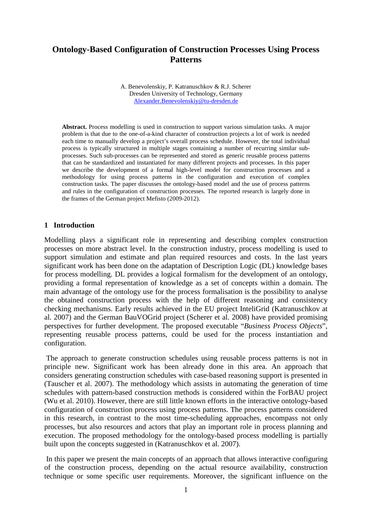# **Ontology-Based Configuration of Construction Processes Using Process Patterns**

A. Benevolenskiy, P. Katranuschkov & R.J. Scherer Dresden University of Technology, Germany [Alexander.Benevolenskiy@tu-dresden.de](mailto:Alexander.Benevolenskiy@tu-dresden.de)

**Abstract.** Process modelling is used in construction to support various simulation tasks. A major problem is that due to the one-of-a-kind character of construction projects a lot of work is needed each time to manually develop a project's overall process schedule. However, the total individual process is typically structured in multiple stages containing a number of recurring similar subprocesses. Such sub-processes can be represented and stored as generic reusable process patterns that can be standardized and instantiated for many different projects and processes. In this paper we describe the development of a formal high-level model for construction processes and a methodology for using process patterns in the configuration and execution of complex construction tasks. The paper discusses the ontology-based model and the use of process patterns and rules in the configuration of construction processes. The reported research is largely done in the frames of the German project Mefisto (2009-2012).

### **1 Introduction**

Modelling plays a significant role in representing and describing complex construction processes on more abstract level. In the construction industry, process modelling is used to support simulation and estimate and plan required resources and costs. In the last years significant work has been done on the adaptation of Description Logic (DL) knowledge bases for process modelling. DL provides a logical formalism for the development of an ontology, providing a formal representation of knowledge as a set of concepts within a domain. The main advantage of the ontology use for the process formalisation is the possibility to analyse the obtained construction process with the help of different reasoning and consistency checking mechanisms. Early results achieved in the EU project InteliGrid (Katranuschkov at al. 2007) and the German BauVOGrid project (Scherer et al. 2008) have provided promising perspectives for further development. The proposed executable "*Business Process Objects*", representing reusable process patterns, could be used for the process instantiation and configuration.

The approach to generate construction schedules using reusable process patterns is not in principle new. Significant work has been already done in this area. An approach that considers generating construction schedules with case-based reasoning support is presented in (Tauscher et al. 2007). The methodology which assists in automating the generation of time schedules with pattern-based construction methods is considered within the ForBAU project (Wu et al. 2010). However, there are still little known efforts in the interactive ontology-based configuration of construction process using process patterns. The process patterns considered in this research, in contrast to the most time-scheduling approaches, encompass not only processes, but also resources and actors that play an important role in process planning and execution. The proposed methodology for the ontology-based process modelling is partially built upon the concepts suggested in (Katranuschkov et al. 2007).

In this paper we present the main concepts of an approach that allows interactive configuring of the construction process, depending on the actual resource availability, construction technique or some specific user requirements. Moreover, the significant influence on the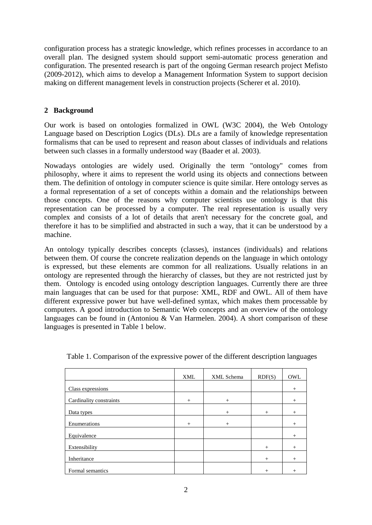configuration process has a strategic knowledge, which refines processes in accordance to an overall plan. The designed system should support semi-automatic process generation and configuration. The presented research is part of the ongoing German research project Mefisto (2009-2012), which aims to develop a Management Information System to support decision making on different management levels in construction projects (Scherer et al. 2010).

## **2 Background**

Our work is based on ontologies formalized in OWL (W3C 2004), the Web Ontology Language based on Description Logics (DLs). DLs are a family of knowledge representation formalisms that can be used to represent and reason about classes of individuals and relations between such classes in a formally understood way (Baader et al. 2003).

Nowadays ontologies are widely used. Originally the term "ontology" comes from philosophy, where it aims to represent the world using its objects and connections between them. The definition of ontology in computer science is quite similar. Here ontology serves as a formal representation of a set of concepts within a domain and the relationships between those concepts. One of the reasons why computer scientists use ontology is that this representation can be processed by a computer. The real representation is usually very complex and consists of a lot of details that aren't necessary for the concrete goal, and therefore it has to be simplified and abstracted in such a way, that it can be understood by a machine.

An ontology typically describes concepts (classes), instances (individuals) and relations between them. Of course the concrete realization depends on the language in which ontology is expressed, but these elements are common for all realizations. Usually relations in an ontology are represented through the hierarchy of classes, but they are not restricted just by them. Ontology is encoded using ontology description languages. Currently there are three main languages that can be used for that purpose: XML, RDF and OWL. All of them have different expressive power but have well-defined syntax, which makes them processable by computers. A good introduction to Semantic Web concepts and an overview of the ontology languages can be found in (Antoniou & Van Harmelen. 2004). A short comparison of these languages is presented in Table 1 below.

|                         | XML    | XML Schema | RDF(S) | OWL    |
|-------------------------|--------|------------|--------|--------|
| Class expressions       |        |            |        | $^{+}$ |
| Cardinality constraints | $^{+}$ | $+$        |        | $+$    |
| Data types              |        | $^{+}$     | $^{+}$ | $^{+}$ |
| Enumerations            | $^{+}$ | $^{+}$     |        | $^{+}$ |
| Equivalence             |        |            |        | $^{+}$ |
| Extensibility           |        |            | $^{+}$ | $^{+}$ |
| Inheritance             |        |            | $+$    | $^{+}$ |
| Formal semantics        |        |            | $^{+}$ | $^{+}$ |

Table 1. Comparison of the expressive power of the different description languages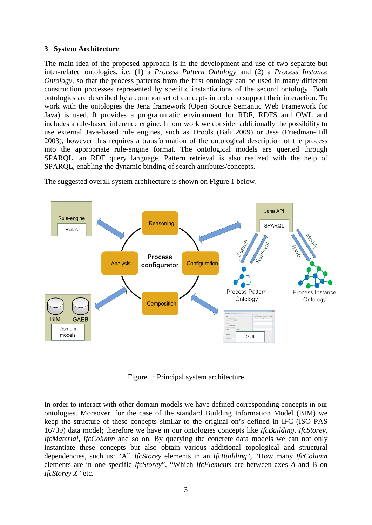## **3 System Architecture**

The main idea of the proposed approach is in the development and use of two separate but inter-related ontologies, i.e. (1) a *Process Pattern Ontology* and (2) a *Process Instance Ontology*, so that the process patterns from the first ontology can be used in many different construction processes represented by specific instantiations of the second ontology. Both ontologies are described by a common set of concepts in order to support their interaction. To work with the ontologies the Jena framework (Open Source Semantic Web Framework for Java) is used. It provides a programmatic environment for RDF, RDFS and OWL and includes a rule-based inference engine. In our work we consider additionally the possibility to use external Java-based rule engines, such as Drools (Bali 2009) or Jess (Friedman-Hill 2003), however this requires a transformation of the ontological description of the process into the appropriate rule-engine format. The ontological models are queried through SPARQL, an RDF query language. Pattern retrieval is also realized with the help of SPARQL, enabling the dynamic binding of search attributes/concepts.



The suggested overall system architecture is shown on Figure 1 below.

Figure 1: Principal system architecture

In order to interact with other domain models we have defined corresponding concepts in our ontologies. Moreover, for the case of the standard Building Information Model (BIM) we keep the structure of these concepts similar to the original on's defined in IFC (ISO PAS 16739) data model; therefore we have in our ontologies concepts like *IfcBuilding*, *IfcStorey*, *IfcMaterial, IfcColumn* and so on. By querying the concrete data models we can not only instantiate these concepts but also obtain various additional topological and structural dependencies, such us: "All *IfcStorey* elements in an *IfcBuilding*", "How many *IfcColumn* elements are in one specific *IfcStorey*", "Which *IfcElements* are between axes *A* and B on *IfcStorey X*" etc.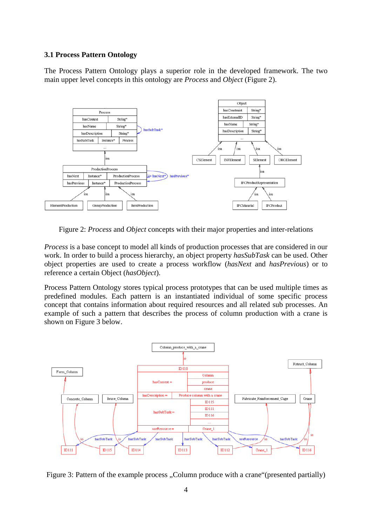### **3.1 Process Pattern Ontology**

The Process Pattern Ontology plays a superior role in the developed framework. The two main upper level concepts in this ontology are *Process* and *Object* (Figure 2).



Figure 2: *Process* and *Object* concepts with their major properties and inter-relations

*Process* is a base concept to model all kinds of production processes that are considered in our work. In order to build a process hierarchy, an object property *hasSubTask* can be used. Other object properties are used to create a process workflow (*hasNext* and *hasPrevious*) or to reference a certain Object (*hasObject*).

Process Pattern Ontology stores typical process prototypes that can be used multiple times as predefined modules. Each pattern is an instantiated individual of some specific process concept that contains information about required resources and all related sub processes. An example of such a pattern that describes the process of column production with a crane is shown on Figure 3 below.



Figure 3: Pattern of the example process . Column produce with a crane "(presented partially)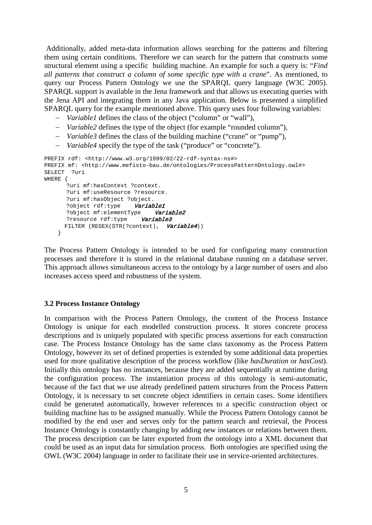Additionally, added meta-data information allows searching for the patterns and filtering them using certain conditions. Therefore we can search for the pattern that constructs some structural element using a specific building machine. An example for such a query is: "*Find all patterns that construct a column of some specific type with a crane*". As mentioned, to query our Process Pattern Ontology we use the SPARQL query language (W3C 2005). SPARQL support is available in the Jena framework and that allows us executing queries with the Jena API and integrating them in any Java application. Below is presented a simplified SPARQL query for the example mentioned above. This query uses four following variables:

- − *Variable1* defines the class of the object ("column" or "wall"),
- − *Variable2* defines the type of the object (for example "rounded column"),
- − *Variable3* defines the class of the building machine ("crane" or "pump"),
- − *Variable4* specify the type of the task ("produce" or "concrete").

```
PREFIX rdf: <http://www.w3.org/1999/02/22-rdf-syntax-ns#> 
PREFIX mf: <http://www.mefisto-bau.de/ontologies/ProcessPatternOntology.owl#>
SELECT ?uri 
WHERE { 
      ?uri mf:hasContext ?context.
      ?uri mf:useResource ?resource.
      ?uri mf:hasObject ?object.
      ?object rdf:type Variable1
      ?object mf:elementType Variable2
      ?resource rdf:type Variable3
     FILTER (REGEX(STR(?context), Variable4))
     }
```
The Process Pattern Ontology is intended to be used for configuring many construction processes and therefore it is stored in the relational database running on a database server. This approach allows simultaneous access to the ontology by a large number of users and also increases access speed and robustness of the system.

#### **3.2 Process Instance Ontology**

In comparison with the Process Pattern Ontology, the content of the Process Instance Ontology is unique for each modelled construction process. It stores concrete process descriptions and is uniquely populated with specific process assertions for each construction case. The Process Instance Ontology has the same class taxonomy as the Process Pattern Ontology, however its set of defined properties is extended by some additional data properties used for more qualitative description of the process workflow (like *hasDuration* or *hasCost*). Initially this ontology has no instances, because they are added sequentially at runtime during the configuration process. The instantiation process of this ontology is semi-automatic, because of the fact that we use already predefined pattern structures from the Process Pattern Ontology, it is necessary to set concrete object identifiers in certain cases. Some identifiers could be generated automatically, however references to a specific construction object or building machine has to be assigned manually. While the Process Pattern Ontology cannot be modified by the end user and serves only for the pattern search and retrieval, the Process Instance Ontology is constantly changing by adding new instances or relations between them. The process description can be later exported from the ontology into a XML document that could be used as an input data for simulation process. Both ontologies are specified using the OWL (W3C 2004) language in order to facilitate their use in service-oriented architectures.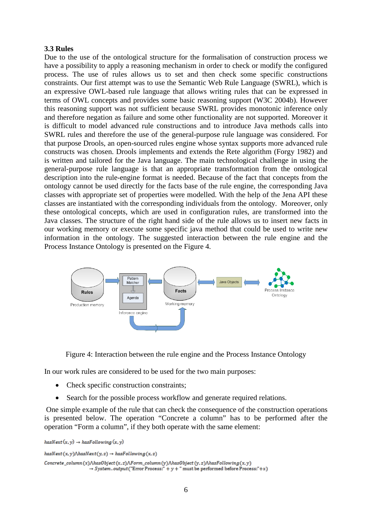### **3.3 Rules**

Due to the use of the ontological structure for the formalisation of construction process we have a possibility to apply a reasoning mechanism in order to check or modify the configured process. The use of rules allows us to set and then check some specific constructions constraints. Our first attempt was to use the Semantic Web Rule Language (SWRL), which is an expressive OWL-based rule language that allows writing rules that can be expressed in terms of OWL concepts and provides some basic reasoning support (W3C 2004b). However this reasoning support was not sufficient because SWRL provides monotonic inference only and therefore negation as failure and some other functionality are not supported. Moreover it is difficult to model advanced rule constructions and to introduce Java methods calls into SWRL rules and therefore the use of the general-purpose rule language was considered. For that purpose Drools, an open-sourced rules engine whose syntax supports more advanced rule constructs was chosen. Drools implements and extends the Rete algorithm (Forgy 1982) and is written and tailored for the Java language. The main technological challenge in using the general-purpose rule language is that an appropriate transformation from the ontological description into the rule-engine format is needed. Because of the fact that concepts from the ontology cannot be used directly for the facts base of the rule engine, the corresponding Java classes with appropriate set of properties were modelled. With the help of the Jena API these classes are instantiated with the corresponding individuals from the ontology. Moreover, only these ontological concepts, which are used in configuration rules, are transformed into the Java classes. The structure of the right hand side of the rule allows us to insert new facts in our working memory or execute some specific java method that could be used to write new information in the ontology. The suggested interaction between the rule engine and the Process Instance Ontology is presented on the Figure 4.



Figure 4: Interaction between the rule engine and the Process Instance Ontology

In our work rules are considered to be used for the two main purposes:

- Check specific construction constraints;
- Search for the possible process workflow and generate required relations.

One simple example of the rule that can check the consequence of the construction operations is presented below. The operation "Concrete a column" has to be performed after the operation "Form a column", if they both operate with the same element:

```
hasNext(x, y) \rightarrow hasFollowing(x, y)hasNext(x, y) \land hasNext(y, z) \rightarrow hasFollowing(x, z)\label{thm:convex} \textit{Concrete\_column(x)} \textit{A} has \textit{Object}(x,z) \textit{A} \textit{Form\_column(y)} \textit{A} has \textit{Object}(y,z) \textit{A} has \textit{Following}(x,y)\rightarrow System.output("Error Process:" + y + " must be performed before Process:"+x)
```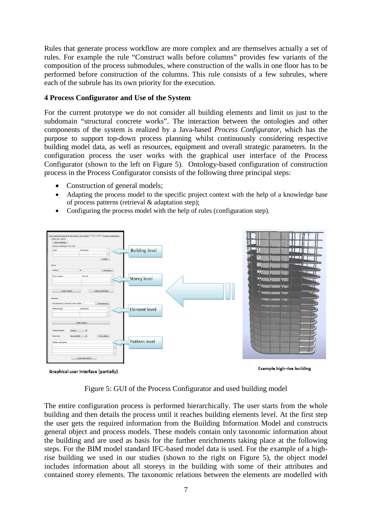Rules that generate process workflow are more complex and are themselves actually a set of rules. For example the rule "Construct walls before columns" provides few variants of the composition of the process submodules, where construction of the walls in one floor has to be performed before construction of the columns. This rule consists of a few subrules, where each of the subrule has its own priority for the execution.

## **4 Process Configurator and Use of the System**

For the current prototype we do not consider all building elements and limit us just to the subdomain "structural concrete works". The interaction between the ontologies and other components of the system is realized by a Java-based *Process Configurator*, which has the purpose to support top-down process planning whilst continuously considering respective building model data, as well as resources, equipment and overall strategic parameters. In the configuration process the user works with the graphical user interface of the Process Configurator (shown to the left on Figure 5). Ontology-based configuration of construction process in the Process Configurator consists of the following three principal steps:

- Construction of general models;
- Adapting the process model to the specific project context with the help of a knowledge base of process patterns (retrieval & adaptation step);
- Configuring the process model with the help of rules (configuration step).



![](_page_6_Figure_7.jpeg)

**Example high-rise building** 

![](_page_6_Figure_9.jpeg)

The entire configuration process is performed hierarchically. The user starts from the whole building and then details the process until it reaches building elements level. At the first step the user gets the required information from the Building Information Model and constructs general object and process models. These models contain only taxonomic information about the building and are used as basis for the further enrichments taking place at the following steps. For the BIM model standard IFC-based model data is used. For the example of a highrise building we used in our studies (shown to the right on Figure 5), the object model includes information about all storeys in the building with some of their attributes and contained storey elements. The taxonomic relations between the elements are modelled with